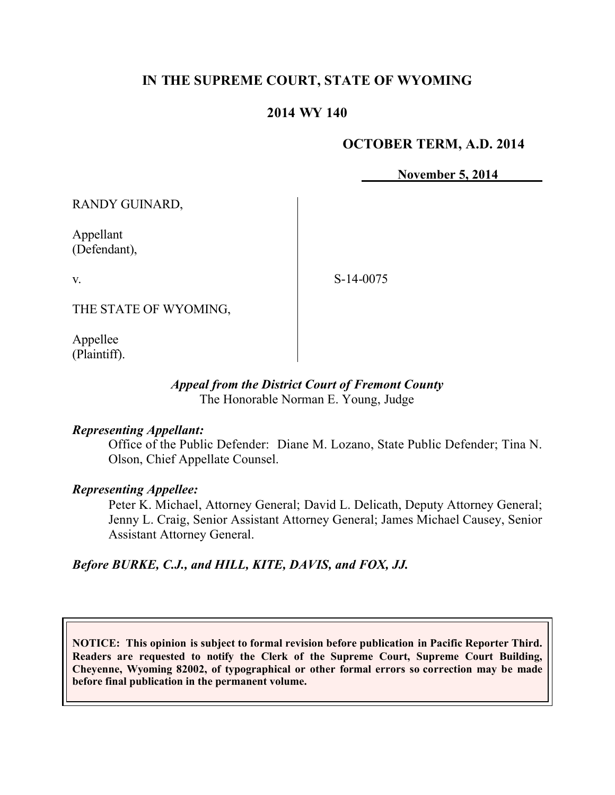# **IN THE SUPREME COURT, STATE OF WYOMING**

## **2014 WY 140**

### **OCTOBER TERM, A.D. 2014**

**November 5, 2014**

RANDY GUINARD,

Appellant (Defendant),

v.

S-14-0075

THE STATE OF WYOMING,

Appellee (Plaintiff).

### *Appeal from the District Court of Fremont County* The Honorable Norman E. Young, Judge

#### *Representing Appellant:*

Office of the Public Defender: Diane M. Lozano, State Public Defender; Tina N. Olson, Chief Appellate Counsel.

#### *Representing Appellee:*

Peter K. Michael, Attorney General; David L. Delicath, Deputy Attorney General; Jenny L. Craig, Senior Assistant Attorney General; James Michael Causey, Senior Assistant Attorney General.

*Before BURKE, C.J., and HILL, KITE, DAVIS, and FOX, JJ.*

**NOTICE: This opinion is subject to formal revision before publication in Pacific Reporter Third. Readers are requested to notify the Clerk of the Supreme Court, Supreme Court Building, Cheyenne, Wyoming 82002, of typographical or other formal errors so correction may be made before final publication in the permanent volume.**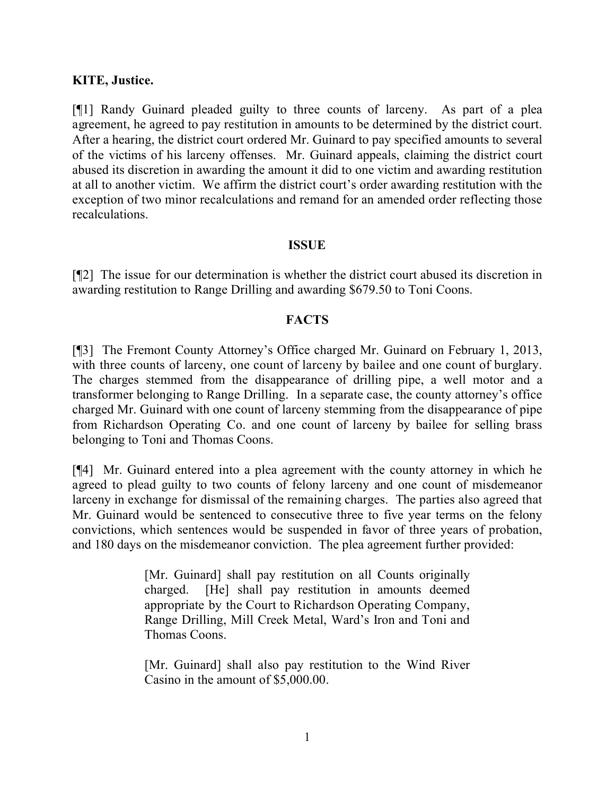## **KITE, Justice.**

[¶1] Randy Guinard pleaded guilty to three counts of larceny. As part of a plea agreement, he agreed to pay restitution in amounts to be determined by the district court. After a hearing, the district court ordered Mr. Guinard to pay specified amounts to several of the victims of his larceny offenses. Mr. Guinard appeals, claiming the district court abused its discretion in awarding the amount it did to one victim and awarding restitution at all to another victim. We affirm the district court's order awarding restitution with the exception of two minor recalculations and remand for an amended order reflecting those recalculations.

### **ISSUE**

[¶2] The issue for our determination is whether the district court abused its discretion in awarding restitution to Range Drilling and awarding \$679.50 to Toni Coons.

### **FACTS**

[¶3] The Fremont County Attorney's Office charged Mr. Guinard on February 1, 2013, with three counts of larceny, one count of larceny by bailee and one count of burglary. The charges stemmed from the disappearance of drilling pipe, a well motor and a transformer belonging to Range Drilling. In a separate case, the county attorney's office charged Mr. Guinard with one count of larceny stemming from the disappearance of pipe from Richardson Operating Co. and one count of larceny by bailee for selling brass belonging to Toni and Thomas Coons.

[¶4] Mr. Guinard entered into a plea agreement with the county attorney in which he agreed to plead guilty to two counts of felony larceny and one count of misdemeanor larceny in exchange for dismissal of the remaining charges. The parties also agreed that Mr. Guinard would be sentenced to consecutive three to five year terms on the felony convictions, which sentences would be suspended in favor of three years of probation, and 180 days on the misdemeanor conviction. The plea agreement further provided:

> [Mr. Guinard] shall pay restitution on all Counts originally charged. [He] shall pay restitution in amounts deemed appropriate by the Court to Richardson Operating Company, Range Drilling, Mill Creek Metal, Ward's Iron and Toni and Thomas Coons.

> [Mr. Guinard] shall also pay restitution to the Wind River Casino in the amount of \$5,000.00.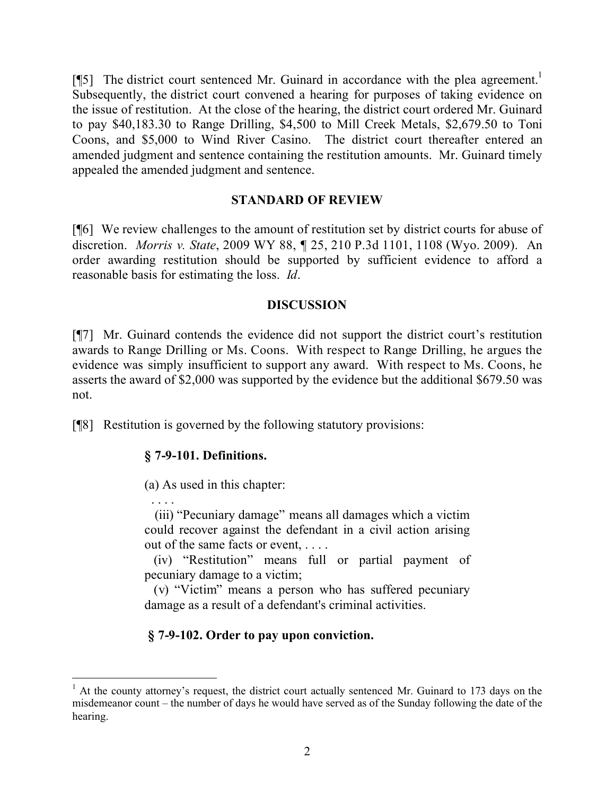[¶5] The district court sentenced Mr. Guinard in accordance with the plea agreement.<sup>1</sup> Subsequently, the district court convened a hearing for purposes of taking evidence on the issue of restitution. At the close of the hearing, the district court ordered Mr. Guinard to pay \$40,183.30 to Range Drilling, \$4,500 to Mill Creek Metals, \$2,679.50 to Toni Coons, and \$5,000 to Wind River Casino. The district court thereafter entered an amended judgment and sentence containing the restitution amounts. Mr. Guinard timely appealed the amended judgment and sentence.

### **STANDARD OF REVIEW**

[¶6] We review challenges to the amount of restitution set by district courts for abuse of discretion. *Morris v. State*, 2009 WY 88, ¶ 25, 210 P.3d 1101, 1108 (Wyo. 2009). An order awarding restitution should be supported by sufficient evidence to afford a reasonable basis for estimating the loss. *Id*.

## **DISCUSSION**

[¶7] Mr. Guinard contends the evidence did not support the district court's restitution awards to Range Drilling or Ms. Coons. With respect to Range Drilling, he argues the evidence was simply insufficient to support any award. With respect to Ms. Coons, he asserts the award of \$2,000 was supported by the evidence but the additional \$679.50 was not.

[¶8] Restitution is governed by the following statutory provisions:

# **§ 7-9-101. Definitions.**

(a) As used in this chapter:

 . . . . (iii) "Pecuniary damage" means all damages which a victim could recover against the defendant in a civil action arising out of the same facts or event, . . . .

(iv) "Restitution" means full or partial payment of pecuniary damage to a victim;

(v) "Victim" means a person who has suffered pecuniary damage as a result of a defendant's criminal activities.

# **§ 7-9-102. Order to pay upon conviction.**

  $1$  At the county attorney's request, the district court actually sentenced Mr. Guinard to 173 days on the misdemeanor count – the number of days he would have served as of the Sunday following the date of the hearing.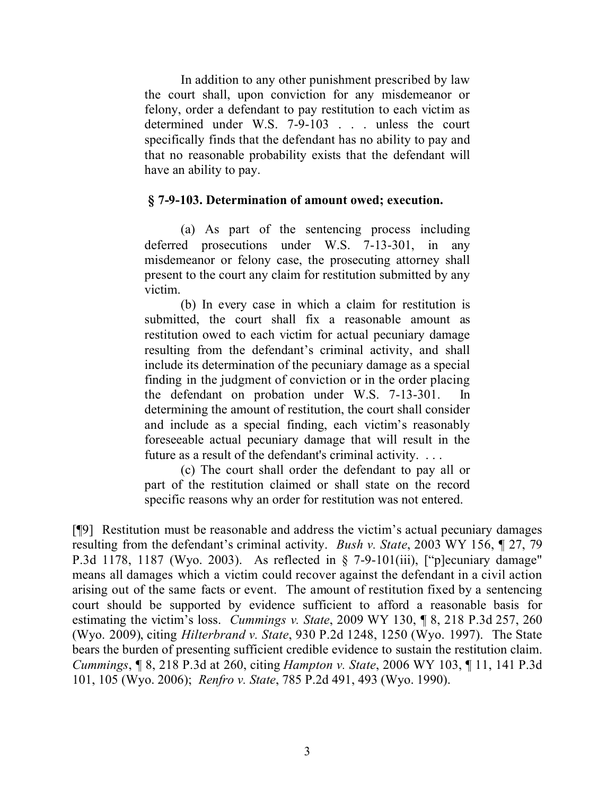In addition to any other punishment prescribed by law the court shall, upon conviction for any misdemeanor or felony, order a defendant to pay restitution to each victim as determined under W.S. 7-9-103 . . . unless the court specifically finds that the defendant has no ability to pay and that no reasonable probability exists that the defendant will have an ability to pay.

#### **§ 7-9-103. Determination of amount owed; execution.**

(a) As part of the sentencing process including deferred prosecutions under W.S. 7-13-301, in any misdemeanor or felony case, the prosecuting attorney shall present to the court any claim for restitution submitted by any victim.

(b) In every case in which a claim for restitution is submitted, the court shall fix a reasonable amount as restitution owed to each victim for actual pecuniary damage resulting from the defendant's criminal activity, and shall include its determination of the pecuniary damage as a special finding in the judgment of conviction or in the order placing the defendant on probation under W.S. 7-13-301. determining the amount of restitution, the court shall consider and include as a special finding, each victim's reasonably foreseeable actual pecuniary damage that will result in the future as a result of the defendant's criminal activity. . . .

(c) The court shall order the defendant to pay all or part of the restitution claimed or shall state on the record specific reasons why an order for restitution was not entered.

[¶9] Restitution must be reasonable and address the victim's actual pecuniary damages resulting from the defendant's criminal activity. *Bush v. State*, 2003 WY 156, ¶ 27, 79 P.3d 1178, 1187 (Wyo. 2003). As reflected in § 7-9-101(iii), ["p]ecuniary damage" means all damages which a victim could recover against the defendant in a civil action arising out of the same facts or event. The amount of restitution fixed by a sentencing court should be supported by evidence sufficient to afford a reasonable basis for estimating the victim's loss. *Cummings v. State*, 2009 WY 130, ¶ 8, 218 P.3d 257, 260 (Wyo. 2009), citing *Hilterbrand v. State*, 930 P.2d 1248, 1250 (Wyo. 1997). The State bears the burden of presenting sufficient credible evidence to sustain the restitution claim. *Cummings*, ¶ 8, 218 P.3d at 260, citing *Hampton v. State*, 2006 WY 103, ¶ 11, 141 P.3d 101, 105 (Wyo. 2006); *Renfro v. State*, 785 P.2d 491, 493 (Wyo. 1990).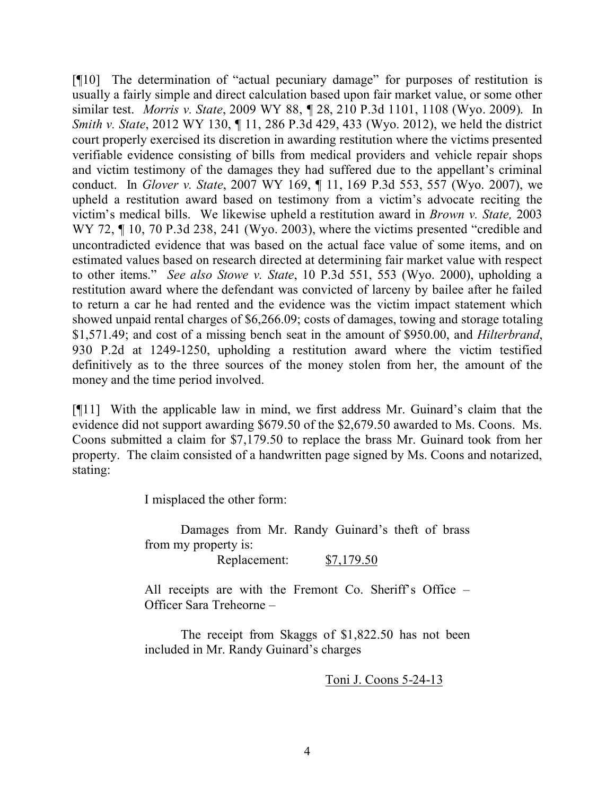[¶10] The determination of "actual pecuniary damage" for purposes of restitution is usually a fairly simple and direct calculation based upon fair market value, or some other similar test. *Morris v. State*, 2009 WY 88, ¶ 28, 210 P.3d 1101, 1108 (Wyo. 2009). In *Smith v. State*, 2012 WY 130, ¶ 11, 286 P.3d 429, 433 (Wyo. 2012), we held the district court properly exercised its discretion in awarding restitution where the victims presented verifiable evidence consisting of bills from medical providers and vehicle repair shops and victim testimony of the damages they had suffered due to the appellant's criminal conduct. In *Glover v. State*, 2007 WY 169, ¶ 11, 169 P.3d 553, 557 (Wyo. 2007), we upheld a restitution award based on testimony from a victim's advocate reciting the victim's medical bills. We likewise upheld a restitution award in *Brown v. State,* 2003 WY 72,  $\P$  10, 70 P.3d 238, 241 (Wyo. 2003), where the victims presented "credible and uncontradicted evidence that was based on the actual face value of some items, and on estimated values based on research directed at determining fair market value with respect to other items." *See also Stowe v. State*, 10 P.3d 551, 553 (Wyo. 2000), upholding a restitution award where the defendant was convicted of larceny by bailee after he failed to return a car he had rented and the evidence was the victim impact statement which showed unpaid rental charges of \$6,266.09; costs of damages, towing and storage totaling \$1,571.49; and cost of a missing bench seat in the amount of \$950.00, and *Hilterbrand*, 930 P.2d at 1249-1250, upholding a restitution award where the victim testified definitively as to the three sources of the money stolen from her, the amount of the money and the time period involved.

[¶11] With the applicable law in mind, we first address Mr. Guinard's claim that the evidence did not support awarding \$679.50 of the \$2,679.50 awarded to Ms. Coons. Ms. Coons submitted a claim for \$7,179.50 to replace the brass Mr. Guinard took from her property. The claim consisted of a handwritten page signed by Ms. Coons and notarized, stating:

I misplaced the other form:

Damages from Mr. Randy Guinard's theft of brass from my property is: Replacement: \$7,179.50

All receipts are with the Fremont Co. Sheriff's Office – Officer Sara Treheorne –

The receipt from Skaggs of \$1,822.50 has not been included in Mr. Randy Guinard's charges

Toni J. Coons 5-24-13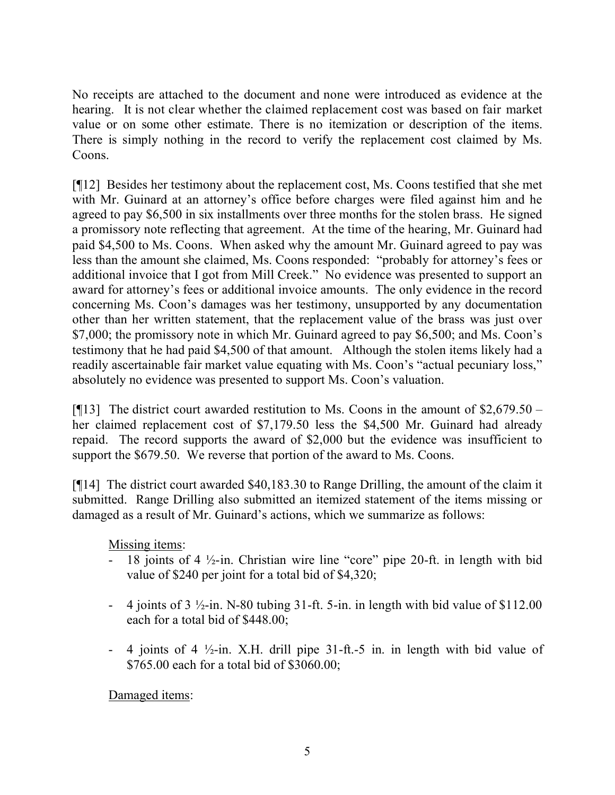No receipts are attached to the document and none were introduced as evidence at the hearing. It is not clear whether the claimed replacement cost was based on fair market value or on some other estimate. There is no itemization or description of the items. There is simply nothing in the record to verify the replacement cost claimed by Ms. Coons.

[¶12] Besides her testimony about the replacement cost, Ms. Coons testified that she met with Mr. Guinard at an attorney's office before charges were filed against him and he agreed to pay \$6,500 in six installments over three months for the stolen brass. He signed a promissory note reflecting that agreement. At the time of the hearing, Mr. Guinard had paid \$4,500 to Ms. Coons. When asked why the amount Mr. Guinard agreed to pay was less than the amount she claimed, Ms. Coons responded: "probably for attorney's fees or additional invoice that I got from Mill Creek." No evidence was presented to support an award for attorney's fees or additional invoice amounts. The only evidence in the record concerning Ms. Coon's damages was her testimony, unsupported by any documentation other than her written statement, that the replacement value of the brass was just over \$7,000; the promissory note in which Mr. Guinard agreed to pay \$6,500; and Ms. Coon's testimony that he had paid \$4,500 of that amount. Although the stolen items likely had a readily ascertainable fair market value equating with Ms. Coon's "actual pecuniary loss," absolutely no evidence was presented to support Ms. Coon's valuation.

[ $[$ [13] The district court awarded restitution to Ms. Coons in the amount of \$2,679.50 – her claimed replacement cost of \$7,179.50 less the \$4,500 Mr. Guinard had already repaid. The record supports the award of \$2,000 but the evidence was insufficient to support the \$679.50. We reverse that portion of the award to Ms. Coons.

[¶14] The district court awarded \$40,183.30 to Range Drilling, the amount of the claim it submitted. Range Drilling also submitted an itemized statement of the items missing or damaged as a result of Mr. Guinard's actions, which we summarize as follows:

Missing items:

- 18 joints of 4  $\frac{1}{2}$ -in. Christian wire line "core" pipe 20-ft. in length with bid value of \$240 per joint for a total bid of \$4,320;
- 4 joints of  $3\frac{1}{2}$ -in. N-80 tubing 31-ft. 5-in. in length with bid value of \$112.00 each for a total bid of \$448.00;
- 4 joints of 4  $\frac{1}{2}$ -in. X.H. drill pipe 31-ft.-5 in. in length with bid value of \$765.00 each for a total bid of \$3060.00;

Damaged items: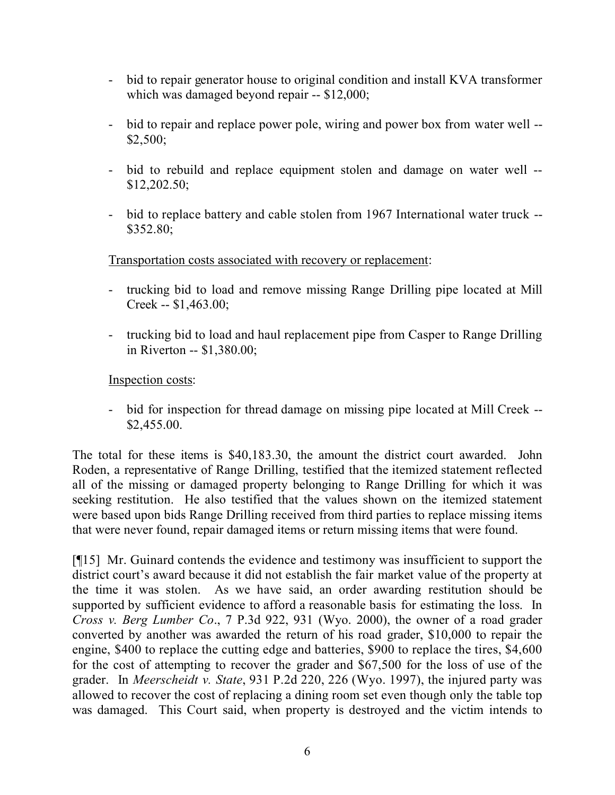- bid to repair generator house to original condition and install KVA transformer which was damaged beyond repair -- \$12,000;
- bid to repair and replace power pole, wiring and power box from water well -- \$2,500;
- bid to rebuild and replace equipment stolen and damage on water well -- \$12,202.50;
- bid to replace battery and cable stolen from 1967 International water truck -- \$352.80;

Transportation costs associated with recovery or replacement:

- trucking bid to load and remove missing Range Drilling pipe located at Mill Creek -- \$1,463.00;
- trucking bid to load and haul replacement pipe from Casper to Range Drilling in Riverton -- \$1,380.00;

Inspection costs:

- bid for inspection for thread damage on missing pipe located at Mill Creek -- \$2,455.00.

The total for these items is \$40,183.30, the amount the district court awarded. John Roden, a representative of Range Drilling, testified that the itemized statement reflected all of the missing or damaged property belonging to Range Drilling for which it was seeking restitution. He also testified that the values shown on the itemized statement were based upon bids Range Drilling received from third parties to replace missing items that were never found, repair damaged items or return missing items that were found.

[¶15] Mr. Guinard contends the evidence and testimony was insufficient to support the district court's award because it did not establish the fair market value of the property at the time it was stolen. As we have said, an order awarding restitution should be supported by sufficient evidence to afford a reasonable basis for estimating the loss. In *Cross v. Berg Lumber Co*., 7 P.3d 922, 931 (Wyo. 2000), the owner of a road grader converted by another was awarded the return of his road grader, \$10,000 to repair the engine, \$400 to replace the cutting edge and batteries, \$900 to replace the tires, \$4,600 for the cost of attempting to recover the grader and \$67,500 for the loss of use of the grader. In *Meerscheidt v. State*, 931 P.2d 220, 226 (Wyo. 1997), the injured party was allowed to recover the cost of replacing a dining room set even though only the table top was damaged. This Court said, when property is destroyed and the victim intends to